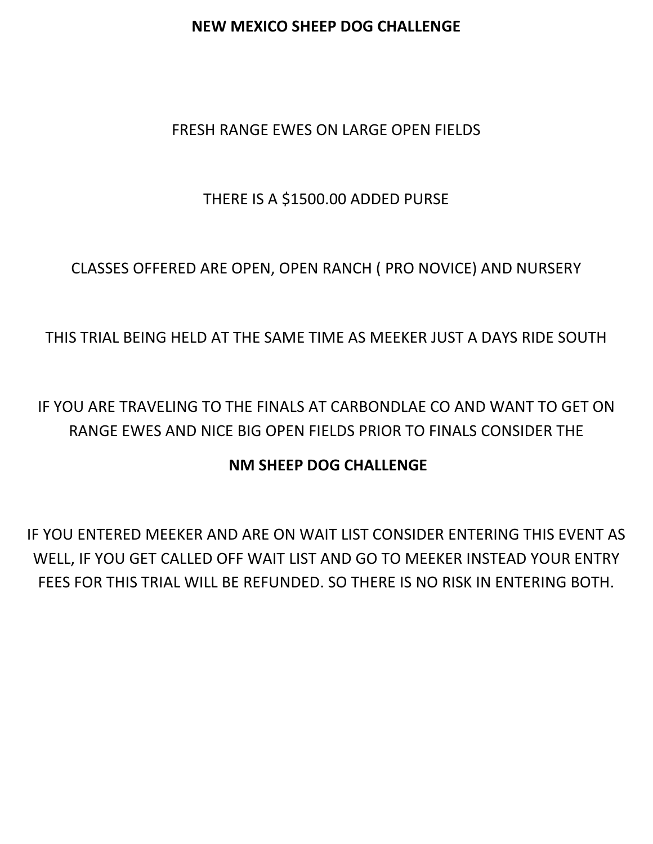### **NEW MEXICO SHEEP DOG CHALLENGE**

## FRESH RANGE EWES ON LARGE OPEN FIELDS

# THERE IS A \$1500.00 ADDED PURSE

CLASSES OFFERED ARE OPEN, OPEN RANCH ( PRO NOVICE) AND NURSERY

# THIS TRIAL BEING HELD AT THE SAME TIME AS MEEKER JUST A DAYS RIDE SOUTH

IF YOU ARE TRAVELING TO THE FINALS AT CARBONDLAE CO AND WANT TO GET ON RANGE EWES AND NICE BIG OPEN FIELDS PRIOR TO FINALS CONSIDER THE

## **NM SHEEP DOG CHALLENGE**

IF YOU ENTERED MEEKER AND ARE ON WAIT LIST CONSIDER ENTERING THIS EVENT AS WELL, IF YOU GET CALLED OFF WAIT LIST AND GO TO MEEKER INSTEAD YOUR ENTRY FEES FOR THIS TRIAL WILL BE REFUNDED. SO THERE IS NO RISK IN ENTERING BOTH.